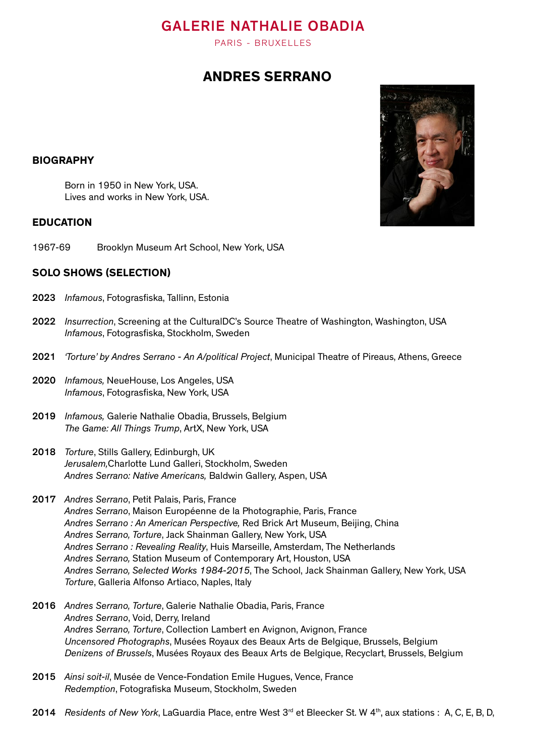# GALERIE NATHALIE OBADIA

PARIS - BRUXELLES

## ANDRES SERRANO



Born in 1950 in New York, USA. Lives and works in New York, USA.

#### EDUCATION

1967-69 Brooklyn Museum Art School, New York, USA

#### SOLO SHOWS (SELECTION)

- 2023 *Infamous*, Fotograsfiska, Tallinn, Estonia
- 2022 *Insurrection*, Screening at the CulturalDC's Source Theatre of Washington, Washington, USA *Infamous*, Fotograsfiska, Stockholm, Sweden
- 2021 *'Torture' by Andres Serrano An A/political Project*, Municipal Theatre of Pireaus, Athens, Greece
- 2020 *Infamous,* NeueHouse, Los Angeles, USA *Infamous*, Fotograsfiska, New York, USA
- 2019 *Infamous,* Galerie Nathalie Obadia, Brussels, Belgium *The Game: All Things Trump*, ArtX, New York, USA
- 2018 *Torture*, Stills Gallery, Edinburgh, UK *Jerusalem,*Charlotte Lund Galleri, Stockholm, Sweden *Andres Serrano: Native Americans,* Baldwin Gallery, Aspen, USA
- 2017 *Andres Serrano*, Petit Palais, Paris, France *Andres Serrano*, Maison Européenne de la Photographie, Paris, France *Andres Serrano : An American Perspective,* Red Brick Art Museum, Beijing, China *Andres Serrano, Torture*, Jack Shainman Gallery, New York, USA *Andres Serrano : Revealing Reality*, Huis Marseille, Amsterdam, The Netherlands *Andres Serrano,* Station Museum of Contemporary Art, Houston, USA *Andres Serrano, Selected Works 1984-2015*, The School, Jack Shainman Gallery, New York, USA *Torture*, Galleria Alfonso Artiaco, Naples, Italy
- 2016 *Andres Serrano, Torture*, Galerie Nathalie Obadia, Paris, France *Andres Serrano*, Void, Derry, Ireland *Andres Serrano, Torture*, Collection Lambert en Avignon, Avignon, France *Uncensored Photographs*, Musées Royaux des Beaux Arts de Belgique, Brussels, Belgium *Denizens of Brussels*, Musées Royaux des Beaux Arts de Belgique, Recyclart, Brussels, Belgium
- 2015 *Ainsi soit-il*, Musée de Vence-Fondation Emile Hugues, Vence, France *Redemption*, Fotografiska Museum, Stockholm, Sweden
- 2014 *Residents of New York*, LaGuardia Place, entre West 3rd et Bleecker St. W 4th, aux stations : A, C, E, B, D,

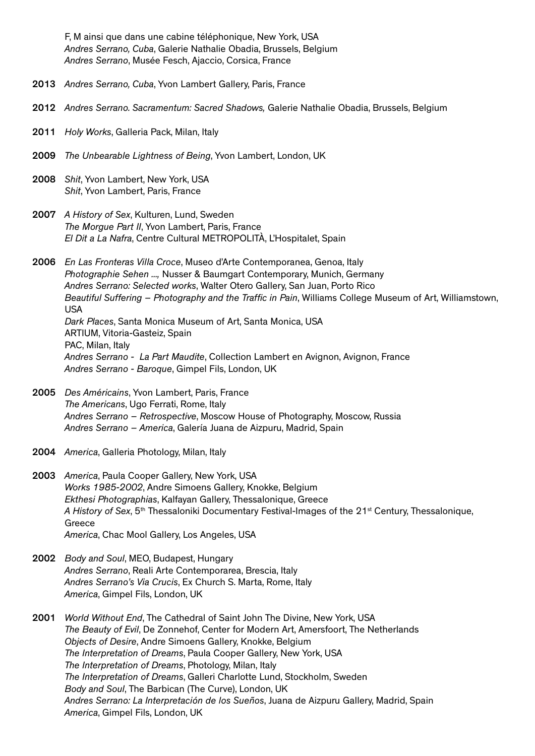F, M ainsi que dans une cabine téléphonique, New York, USA *Andres Serrano, Cuba*, Galerie Nathalie Obadia, Brussels, Belgium *Andres Serrano*, Musée Fesch, Ajaccio, Corsica, France

- 2013 *Andres Serrano, Cuba*, Yvon Lambert Gallery, Paris, France
- 2012 *Andres Serrano. Sacramentum: Sacred Shadows,* Galerie Nathalie Obadia, Brussels, Belgium
- 2011 *Holy Works*, Galleria Pack, Milan, Italy
- 2009 *The Unbearable Lightness of Being*, Yvon Lambert, London, UK
- 2008 *Shit*, Yvon Lambert, New York, USA *Shit*, Yvon Lambert, Paris, France
- 2007 *A History of Sex*, Kulturen, Lund, Sweden *The Morgue Part II*, Yvon Lambert, Paris, France *El Dit a La Nafra*, Centre Cultural METROPOLITÀ, L'Hospitalet, Spain
- 2006 *En Las Fronteras Villa Croce*, Museo d'Arte Contemporanea, Genoa, Italy *Photographie Sehen ...,* Nusser & Baumgart Contemporary, Munich, Germany *Andres Serrano: Selected works*, Walter Otero Gallery, San Juan, Porto Rico *Beautiful Suffering – Photography and the Traffic in Pain*, Williams College Museum of Art, Williamstown, USA *Dark Places*, Santa Monica Museum of Art, Santa Monica, USA ARTIUM, Vitoria-Gasteiz, Spain PAC, Milan, Italy *Andres Serrano - La Part Maudite*, Collection Lambert en Avignon, Avignon, France *Andres Serrano - Baroque*, Gimpel Fils, London, UK
- 2005 *Des Américains*, Yvon Lambert, Paris, France *The Americans*, Ugo Ferrati, Rome, Italy *Andres Serrano – Retrospective*, Moscow House of Photography, Moscow, Russia *Andres Serrano – America*, Galería Juana de Aizpuru, Madrid, Spain
- 2004 *America*, Galleria Photology, Milan, Italy
- 2003 *America*, Paula Cooper Gallery, New York, USA *Works 1985-2002*, Andre Simoens Gallery, Knokke, Belgium *Ekthesi Photographias*, Kalfayan Gallery, Thessalonique, Greece A History of Sex, 5<sup>th</sup> Thessaloniki Documentary Festival-Images of the 21<sup>st</sup> Century, Thessalonique, Greece *America*, Chac Mool Gallery, Los Angeles, USA
- 2002 *Body and Soul*, MEO, Budapest, Hungary *Andres Serrano*, Reali Arte Contemporarea, Brescia, Italy *Andres Serrano's Via Crucis*, Ex Church S. Marta, Rome, Italy *America*, Gimpel Fils, London, UK
- 2001 *World Without End*, The Cathedral of Saint John The Divine, New York, USA *The Beauty of Evil*, De Zonnehof, Center for Modern Art, Amersfoort, The Netherlands *Objects of Desire*, Andre Simoens Gallery, Knokke, Belgium *The Interpretation of Dreams*, Paula Cooper Gallery, New York, USA *The Interpretation of Dreams*, Photology, Milan, Italy *The Interpretation of Dreams*, Galleri Charlotte Lund, Stockholm, Sweden *Body and Soul*, The Barbican (The Curve), London, UK *Andres Serrano: La Interpretación de los Sueños*, Juana de Aizpuru Gallery, Madrid, Spain *America*, Gimpel Fils, London, UK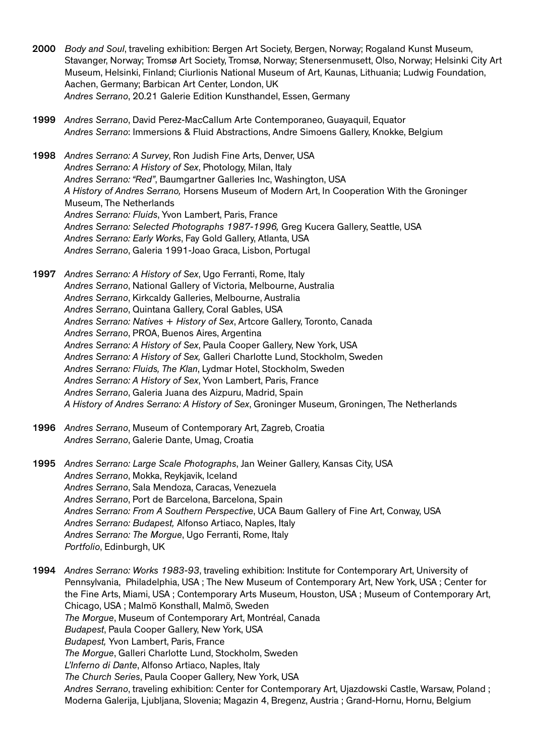- 2000 *Body and Soul*, traveling exhibition: Bergen Art Society, Bergen, Norway; Rogaland Kunst Museum, Stavanger, Norway; Tromsø Art Society, Tromsø, Norway; Stenersenmusett, Olso, Norway; Helsinki City Art Museum, Helsinki, Finland; Ciurlionis National Museum of Art, Kaunas, Lithuania; Ludwig Foundation, Aachen, Germany; Barbican Art Center, London, UK *Andres Serrano*, 20.21 Galerie Edition Kunsthandel, Essen, Germany
- 1999 *Andres Serrano*, David Perez-MacCallum Arte Contemporaneo, Guayaquil, Equator *Andres Serrano*: Immersions & Fluid Abstractions, Andre Simoens Gallery, Knokke, Belgium
- 1998 *Andres Serrano: A Survey*, Ron Judish Fine Arts, Denver, USA *Andres Serrano: A History of Sex*, Photology, Milan, Italy *Andres Serrano: "Red"*, Baumgartner Galleries Inc, Washington, USA *A History of Andres Serrano,* Horsens Museum of Modern Art, In Cooperation With the Groninger Museum, The Netherlands *Andres Serrano: Fluids*, Yvon Lambert, Paris, France *Andres Serrano: Selected Photographs 1987-1996,* Greg Kucera Gallery, Seattle, USA *Andres Serrano: Early Works*, Fay Gold Gallery, Atlanta, USA *Andres Serrano*, Galeria 1991-Joao Graca, Lisbon, Portugal

1997 *Andres Serrano: A History of Sex*, Ugo Ferranti, Rome, Italy *Andres Serrano*, National Gallery of Victoria, Melbourne, Australia *Andres Serrano*, Kirkcaldy Galleries, Melbourne, Australia *Andres Serrano*, Quintana Gallery, Coral Gables, USA *Andres Serrano: Natives + History of Sex*, Artcore Gallery, Toronto, Canada *Andres Serrano*, PROA, Buenos Aires, Argentina *Andres Serrano: A History of Sex*, Paula Cooper Gallery, New York, USA *Andres Serrano: A History of Sex,* Galleri Charlotte Lund, Stockholm, Sweden *Andres Serrano: Fluids, The Klan*, Lydmar Hotel, Stockholm, Sweden *Andres Serrano: A History of Sex*, Yvon Lambert, Paris, France *Andres Serrano*, Galeria Juana des Aizpuru, Madrid, Spain *A History of Andres Serrano: A History of Sex*, Groninger Museum, Groningen, The Netherlands

- 1996 *Andres Serrano*, Museum of Contemporary Art, Zagreb, Croatia *Andres Serrano*, Galerie Dante, Umag, Croatia
- 1995 *Andres Serrano: Large Scale Photographs*, Jan Weiner Gallery, Kansas City, USA *Andres Serrano*, Mokka, Reykjavik, Iceland *Andres Serrano*, Sala Mendoza, Caracas, Venezuela *Andres Serrano*, Port de Barcelona, Barcelona, Spain *Andres Serrano: From A Southern Perspective*, UCA Baum Gallery of Fine Art, Conway, USA *Andres Serrano: Budapest,* Alfonso Artiaco, Naples, Italy *Andres Serrano: The Morgue*, Ugo Ferranti, Rome, Italy *Portfolio*, Edinburgh, UK

1994 *Andres Serrano: Works 1983-93*, traveling exhibition: Institute for Contemporary Art, University of Pennsylvania, Philadelphia, USA ; The New Museum of Contemporary Art, New York, USA ; Center for the Fine Arts, Miami, USA ; Contemporary Arts Museum, Houston, USA ; Museum of Contemporary Art, Chicago, USA ; Malmö Konsthall, Malmö, Sweden *The Morgue*, Museum of Contemporary Art, Montréal, Canada *Budapest*, Paula Cooper Gallery, New York, USA *Budapest,* Yvon Lambert, Paris, France *The Morgue*, Galleri Charlotte Lund, Stockholm, Sweden *L'Inferno di Dante*, Alfonso Artiaco, Naples, Italy *The Church Series*, Paula Cooper Gallery, New York, USA *Andres Serrano*, traveling exhibition: Center for Contemporary Art, Ujazdowski Castle, Warsaw, Poland ; Moderna Galerija, Ljubljana, Slovenia; Magazin 4, Bregenz, Austria ; Grand-Hornu, Hornu, Belgium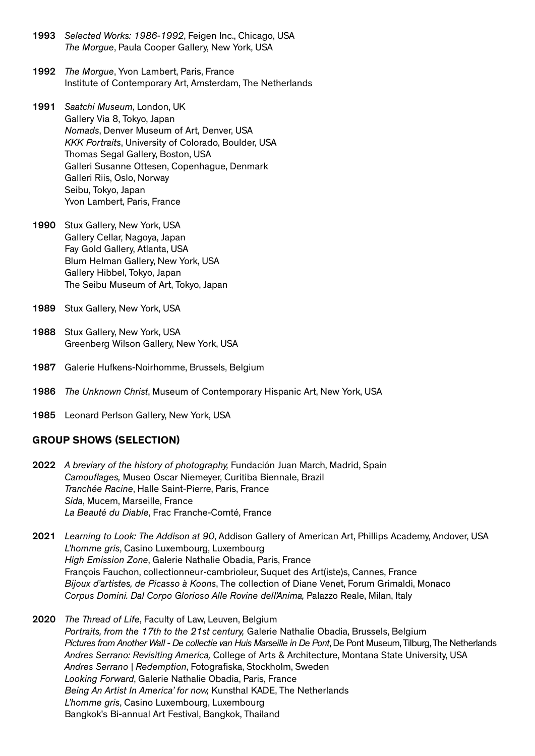- 1993 *Selected Works: 1986-1992*, Feigen Inc., Chicago, USA *The Morgue*, Paula Cooper Gallery, New York, USA
- 1992 *The Morgue*, Yvon Lambert, Paris, France Institute of Contemporary Art, Amsterdam, The Netherlands
- 1991 *Saatchi Museum*, London, UK Gallery Via 8, Tokyo, Japan *Nomads*, Denver Museum of Art, Denver, USA *KKK Portraits*, University of Colorado, Boulder, USA Thomas Segal Gallery, Boston, USA Galleri Susanne Ottesen, Copenhague, Denmark Galleri Riis, Oslo, Norway Seibu, Tokyo, Japan Yvon Lambert, Paris, France
- 1990 Stux Gallery, New York, USA Gallery Cellar, Nagoya, Japan Fay Gold Gallery, Atlanta, USA Blum Helman Gallery, New York, USA Gallery Hibbel, Tokyo, Japan The Seibu Museum of Art, Tokyo, Japan
- 1989 Stux Gallery, New York, USA
- 1988 Stux Gallery, New York, USA Greenberg Wilson Gallery, New York, USA
- 1987 Galerie Hufkens-Noirhomme, Brussels, Belgium
- 1986 *The Unknown Christ*, Museum of Contemporary Hispanic Art, New York, USA
- 1985 Leonard Perlson Gallery, New York, USA

#### GROUP SHOWS (SELECTION)

- 2022 *A breviary of the history of photography,* Fundación Juan March, Madrid, Spain *Camouflages,* Museo Oscar Niemeyer, Curitiba Biennale, Brazil *Tranchée Racine*, Halle Saint-Pierre, Paris, France *Sida*, Mucem, Marseille, France *La Beauté du Diable*, Frac Franche-Comté, France
- 2021 *Learning to Look: The Addison at 90*, Addison Gallery of American Art, Phillips Academy, Andover, USA *L'homme gris*, Casino Luxembourg, Luxembourg *High Emission Zone*, Galerie Nathalie Obadia, Paris, France François Fauchon, collectionneur-cambrioleur, Suquet des Art(iste)s, Cannes, France *Bijoux d'artistes, de Picasso à Koons*, The collection of Diane Venet, Forum Grimaldi, Monaco *Corpus Domini. Dal Corpo Glorioso Alle Rovine dell'Anima,* Palazzo Reale, Milan, Italy
- 2020 *The Thread of Life*, Faculty of Law, Leuven, Belgium *Portraits, from the 17th to the 21st century,* Galerie Nathalie Obadia, Brussels, Belgium *Pictures from Another Wall - De collectie van Huis Marseille in De Pont*, De Pont Museum, Tilburg, The Netherlands *Andres Serrano: Revisiting America,* College of Arts & Architecture, Montana State University, USA *Andres Serrano | Redemption*, Fotografiska, Stockholm, Sweden *Looking Forward*, Galerie Nathalie Obadia, Paris, France *Being An Artist In America' for now,* Kunsthal KADE, The Netherlands *L'homme gris*, Casino Luxembourg, Luxembourg Bangkok's Bi-annual Art Festival, Bangkok, Thailand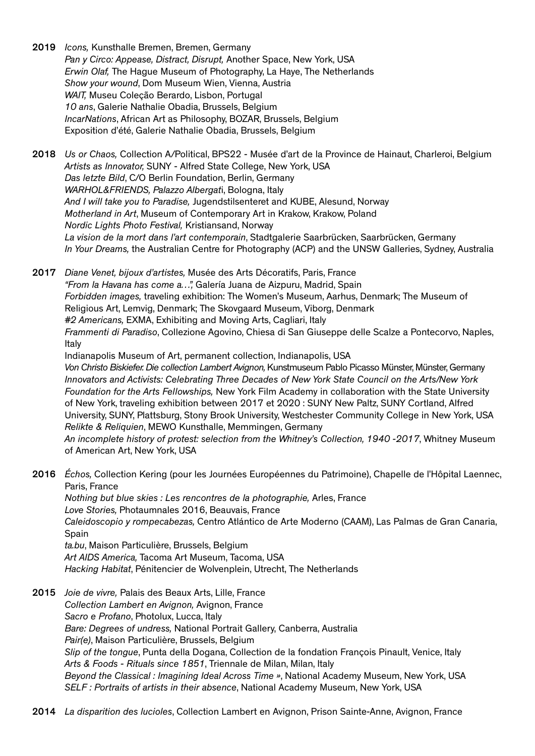- 2019 *Icons,* Kunsthalle Bremen, Bremen, Germany *Pan y Circo: Appease, Distract, Disrupt,* Another Space, New York, USA *Erwin Olaf,* The Hague Museum of Photography, La Haye, The Netherlands *Show your wound*, Dom Museum Wien, Vienna, Austria *WAIT,* Museu Coleção Berardo, Lisbon, Portugal *10 ans*, Galerie Nathalie Obadia, Brussels, Belgium *IncarNations*, African Art as Philosophy, BOZAR, Brussels, Belgium Exposition d'été, Galerie Nathalie Obadia, Brussels, Belgium
- 2018 *Us or Chaos,* Collection A/Political, BPS22 Musée d'art de la Province de Hainaut, Charleroi, Belgium *Artists as Innovator,* SUNY - Alfred State College, New York, USA *Das letzte Bild*, C/O Berlin Foundation, Berlin, Germany *WARHOL&FRIENDS, Palazzo Albergat*i, Bologna, Italy *And I will take you to Paradise,* Jugendstilsenteret and KUBE, Alesund, Norway *Motherland in Art*, Museum of Contemporary Art in Krakow, Krakow, Poland *Nordic Lights Photo Festival,* Kristiansand, Norway *La vision de la mort dans l'art contemporain*, Stadtgalerie Saarbrücken, Saarbrücken, Germany *In Your Dreams,* the Australian Centre for Photography (ACP) and the UNSW Galleries, Sydney, Australia
- 2017 *Diane Venet, bijoux d'artistes,* Musée des Arts Décoratifs, Paris, France *"From la Havana has come a…",* Galería Juana de Aizpuru, Madrid, Spain *Forbidden images,* traveling exhibition: The Women's Museum, Aarhus, Denmark; The Museum of Religious Art, Lemvig, Denmark; The Skovgaard Museum, Viborg, Denmark *#2 Americans,* EXMA, Exhibiting and Moving Arts, Cagliari, Italy *Frammenti di Paradiso*, Collezione Agovino, Chiesa di San Giuseppe delle Scalze a Pontecorvo, Naples, Italy Indianapolis Museum of Art, permanent collection, Indianapolis, USA *Von Christo Biskiefer. Die collection Lambert Avignon,* Kunstmuseum Pablo Picasso Münster, Münster, Germany *Innovators and Activists: Celebrating Three Decades of New York State Council on the Arts/New York Foundation for the Arts Fellowships,* New York Film Academy in collaboration with the State University of New York, traveling exhibition between 2017 et 2020 : SUNY New Paltz, SUNY Cortland, Alfred University, SUNY, Plattsburg, Stony Brook University, Westchester Community College in New York, USA *Relikte & Reliquien*, MEWO Kunsthalle, Memmingen, Germany *An incomplete history of protest: selection from the Whitney's Collection, 1940 -2017*, Whitney Museum of American Art, New York, USA
- 2016 *Échos,* Collection Kering (pour les Journées Européennes du Patrimoine), Chapelle de l'Hôpital Laennec, Paris, France *Nothing but blue skies : Les rencontres de la photographie,* Arles, France *Love Stories,* Photaumnales 2016, Beauvais, France *Caleidoscopio y rompecabezas,* Centro Atlántico de Arte Moderno (CAAM), Las Palmas de Gran Canaria, Spain *ta.bu*, Maison Particulière, Brussels, Belgium *Art AIDS America,* Tacoma Art Museum, Tacoma, USA *Hacking Habitat*, Pénitencier de Wolvenplein, Utrecht, The Netherlands
- 2015 *Joie de vivre,* Palais des Beaux Arts, Lille, France *Collection Lambert en Avignon,* Avignon, France *Sacro e Profano*, Photolux, Lucca, Italy *Bare: Degrees of undress,* National Portrait Gallery, Canberra, Australia *Pair(e)*, Maison Particulière, Brussels, Belgium *Slip of the tongue*, Punta della Dogana, Collection de la fondation François Pinault, Venice, Italy *Arts & Foods - Rituals since 1851*, Triennale de Milan, Milan, Italy *Beyond the Classical : Imagining Ideal Across Time »*, National Academy Museum, New York, USA *SELF : Portraits of artists in their absence*, National Academy Museum, New York, USA
- 2014 *La disparition des lucioles*, Collection Lambert en Avignon, Prison Sainte-Anne, Avignon, France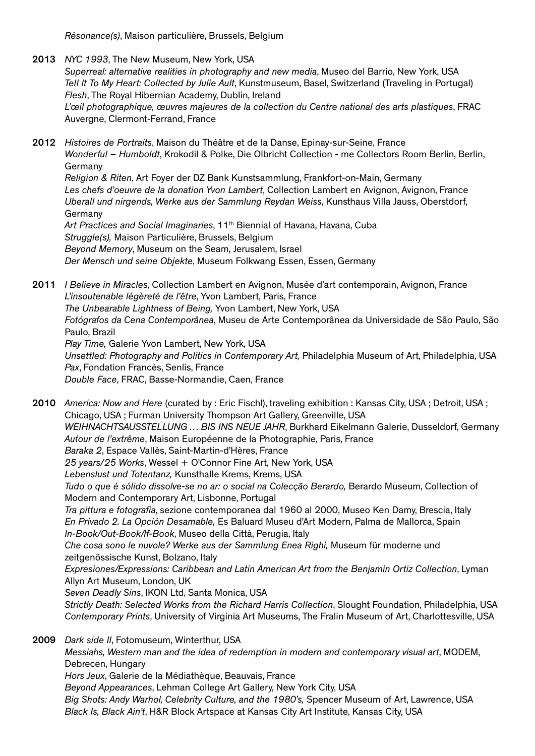*Résonance(s)*, Maison particulière, Brussels, Belgium

- 2013 *NYC 1993*, The New Museum, New York, USA *Superreal: alternative realities in photography and new media*, Museo del Barrio, New York, USA *Tell It To My Heart: Collected by Julie Ault*, Kunstmuseum, Basel, Switzerland (Traveling in Portugal) *Flesh*, The Royal Hibernian Academy, Dublin, Ireland *L'œil photographique, œuvres majeures de la collection du Centre national des arts plastiques*, FRAC Auvergne, Clermont-Ferrand, France
- 2012 *Histoires de Portraits*, Maison du Théâtre et de la Danse, Epinay-sur-Seine, France *Wonderful – Humboldt*, Krokodil & Polke, Die Olbricht Collection - me Collectors Room Berlin, Berlin, Germany *Religion & Riten*, Art Foyer der DZ Bank Kunstsammlung, Frankfort-on-Main, Germany *Les chefs d'oeuvre de la donation Yvon Lambert*, Collection Lambert en Avignon, Avignon, France *Uberall und nirgends, Werke aus der Sammlung Reydan Weiss*, Kunsthaus Villa Jauss, Oberstdorf, Germany *Art Practices and Social Imaginaries*, 11th Biennial of Havana, Havana, Cuba *Struggle(s),* Maison Particulière, Brussels, Belgium *Beyond Memory*, Museum on the Seam, Jerusalem, Israel *Der Mensch und seine Objekte*, Museum Folkwang Essen, Essen, Germany
- 2011 *I Believe in Miracles*, Collection Lambert en Avignon, Musée d'art contemporain, Avignon, France *L'insoutenable légèreté de l'être*, Yvon Lambert, Paris, France *The Unbearable Lightness of Being,* Yvon Lambert, New York, USA *Fotógrafos da Cena Contemporânea*, Museu de Arte Contemporânea da Universidade de São Paulo, São Paulo, Brazil *Play Time,* Galerie Yvon Lambert, New York, USA *Unsettled: Photography and Politics in Contemporary Art,* Philadelphia Museum of Art, Philadelphia, USA *Pax*, Fondation Francès, Senlis, France *Double Face*, FRAC, Basse-Normandie, Caen, France

2010 *America: Now and Here* (curated by : Eric Fischl), traveling exhibition : Kansas City, USA ; Detroit, USA ; Chicago, USA ; Furman University Thompson Art Gallery, Greenville, USA *WEIHNACHTSAUSSTELLUNG … BIS INS NEUE JAHR*, Burkhard Eikelmann Galerie, Dusseldorf, Germany *Autour de l'extrême*, Maison Européenne de la Photographie, Paris, France *Baraka 2*, Espace Vallès, Saint-Martin-d'Hères, France *25 years/25 Works*, Wessel + O'Connor Fine Art, New York, USA *Lebenslust und Totentanz,* Kunsthalle Krems, Krems, USA *Tudo o que é sólido dissolve-se no ar: o social na Colecção Berardo,* Berardo Museum, Collection of Modern and Contemporary Art, Lisbonne, Portugal *Tra pittura e fotografia*, sezione contemporanea dal 1960 al 2000, Museo Ken Damy, Brescia, Italy *En Privado 2. La Opción Desamable,* Es Baluard Museu d'Art Modern, Palma de Mallorca, Spain *In-Book/Out-Book/If-Book*, Museo della Città, Perugia, Italy *Che cosa sono le nuvole? Werke aus der Sammlung Enea Righi,* Museum für moderne und zeitgenössische Kunst, Bolzano, Italy *Expresiones/Expressions: Caribbean and Latin American Art from the Benjamin Ortiz Collection*, Lyman Allyn Art Museum, London, UK *Seven Deadly Sins*, IKON Ltd, Santa Monica, USA *Strictly Death: Selected Works from the Richard Harris Collection*, Slought Foundation, Philadelphia, USA *Contemporary Prints*, University of Virginia Art Museums, The Fralin Museum of Art, Charlottesville, USA

2009 *Dark side II*, Fotomuseum, Winterthur, USA *Messiahs, Western man and the idea of redemption in modern and contemporary visual art*, MODEM, Debrecen, Hungary *Hors Jeux*, Galerie de la Médiathèque, Beauvais, France *Beyond Appearances*, Lehman College Art Gallery, New York City, USA *Big Shots: Andy Warhol, Celebrity Culture, and the 1980's,* Spencer Museum of Art, Lawrence, USA *Black Is, Black Ain't*, H&R Block Artspace at Kansas City Art Institute, Kansas City, USA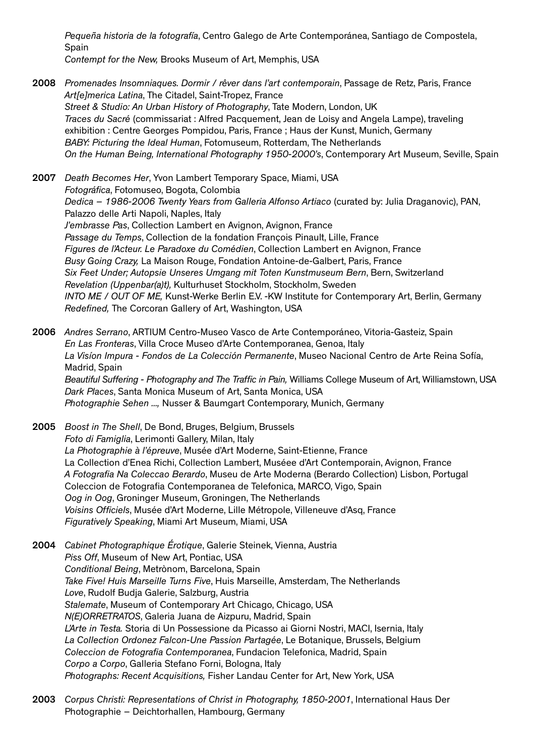*Pequeña historia de la fotografía*, Centro Galego de Arte Contemporánea, Santiago de Compostela, Spain *Contempt for the New,* Brooks Museum of Art, Memphis, USA

2008 *Promenades Insomniaques. Dormir / rêver dans l'art contemporain*, Passage de Retz, Paris, France *Art[e]merica Latina*, The Citadel, Saint-Tropez, France *Street & Studio: An Urban History of Photography*, Tate Modern, London, UK *Traces du Sacré* (commissariat : Alfred Pacquement, Jean de Loisy and Angela Lampe), traveling exhibition : Centre Georges Pompidou, Paris, France ; Haus der Kunst, Munich, Germany *BABY: Picturing the Ideal Human*, Fotomuseum, Rotterdam, The Netherlands *On the Human Being, International Photography 1950-2000's*, Contemporary Art Museum, Seville, Spain

2007 *Death Becomes Her*, Yvon Lambert Temporary Space, Miami, USA *Fotográfica*, Fotomuseo, Bogota, Colombia *Dedica – 1986-2006 Twenty Years from Galleria Alfonso Artiaco* (curated by: Julia Draganovic), PAN, Palazzo delle Arti Napoli, Naples, Italy *J'embrasse Pas*, Collection Lambert en Avignon, Avignon, France *Passage du Temps*, Collection de la fondation François Pinault, Lille, France *Figures de l'Acteur. Le Paradoxe du Comédien*, Collection Lambert en Avignon, France *Busy Going Crazy,* La Maison Rouge, Fondation Antoine-de-Galbert, Paris, France *Six Feet Under; Autopsie Unseres Umgang mit Toten Kunstmuseum Bern*, Bern, Switzerland *Revelation (Uppenbar(a)t),* Kulturhuset Stockholm, Stockholm, Sweden *INTO ME / OUT OF ME,* Kunst-Werke Berlin E.V. -KW Institute for Contemporary Art, Berlin, Germany *Redefined,* The Corcoran Gallery of Art, Washington, USA

2006 *Andres Serrano*, ARTIUM Centro-Museo Vasco de Arte Contemporáneo, Vitoria-Gasteiz, Spain *En Las Fronteras*, Villa Croce Museo d'Arte Contemporanea, Genoa, Italy *La Visíon Impura - Fondos de La Colección Permanente*, Museo Nacional Centro de Arte Reina Sofía, Madrid, Spain *Beautiful Suffering - Photography and The Traffic in Pain,* Williams College Museum of Art, Williamstown, USA *Dark Places*, Santa Monica Museum of Art, Santa Monica, USA *Photographie Sehen ...,* Nusser & Baumgart Contemporary, Munich, Germany

2005 *Boost in The Shell*, De Bond, Bruges, Belgium, Brussels *Foto di Famiglia*, Lerimonti Gallery, Milan, Italy *La Photographie à l'épreuve*, Musée d'Art Moderne, Saint-Etienne, France La Collection d'Enea Richi, Collection Lambert, Muséee d'Art Contemporain, Avignon, France *A Fotografia Na Coleccao Berardo*, Museu de Arte Moderna (Berardo Collection) Lisbon, Portugal Coleccion de Fotografia Contemporanea de Telefonica, MARCO, Vigo, Spain *Oog in Oog*, Groninger Museum, Groningen, The Netherlands *Voisins Officiels*, Musée d'Art Moderne, Lille Métropole, Villeneuve d'Asq, France *Figuratively Speaking*, Miami Art Museum, Miami, USA

2004 *Cabinet Photographique Érotique*, Galerie Steinek, Vienna, Austria *Piss Off*, Museum of New Art, Pontiac, USA *Conditional Being*, Metrònom, Barcelona, Spain *Take Five! Huis Marseille Turns Five*, Huis Marseille, Amsterdam, The Netherlands *Love*, Rudolf Budja Galerie, Salzburg, Austria *Stalemate*, Museum of Contemporary Art Chicago, Chicago, USA *N(E)ORRETRATOS*, Galeria Juana de Aizpuru, Madrid, Spain *L'Arte in Testa.* Storia di Un Possessione da Picasso ai Giorni Nostri, MACI, Isernia, Italy *La Collection Ordonez Falcon-Une Passion Partagée*, Le Botanique, Brussels, Belgium *Coleccion de Fotografia Contemporanea*, Fundacion Telefonica, Madrid, Spain *Corpo a Corpo*, Galleria Stefano Forni, Bologna, Italy *Photographs: Recent Acquisitions,* Fisher Landau Center for Art, New York, USA

2003 *Corpus Christi: Representations of Christ in Photography, 1850-2001*, International Haus Der Photographie – Deichtorhallen, Hambourg, Germany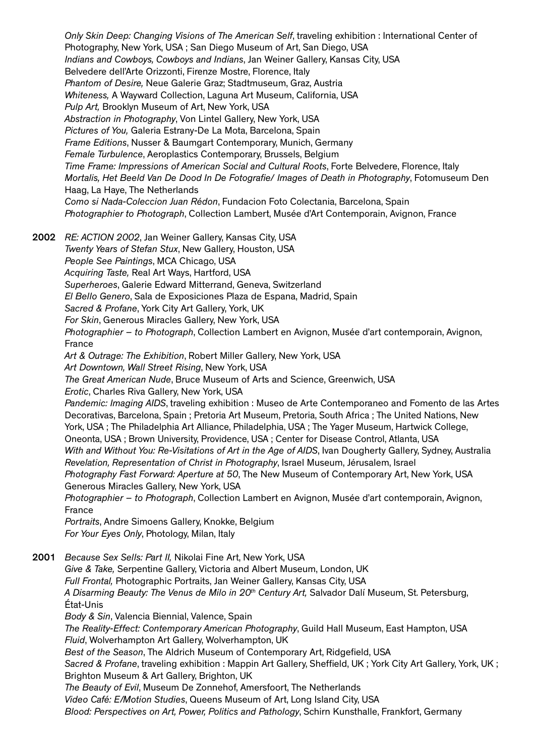*Only Skin Deep: Changing Visions of The American Self*, traveling exhibition : International Center of Photography, New York, USA ; San Diego Museum of Art, San Diego, USA *Indians and Cowboys, Cowboys and Indians*, Jan Weiner Gallery, Kansas City, USA Belvedere dell'Arte Orizzonti, Firenze Mostre, Florence, Italy *Phantom of Desire,* Neue Galerie Graz; Stadtmuseum, Graz, Austria *Whiteness,* A Wayward Collection, Laguna Art Museum, California, USA *Pulp Art,* Brooklyn Museum of Art, New York, USA *Abstraction in Photography*, Von Lintel Gallery, New York, USA *Pictures of You,* Galeria Estrany-De La Mota, Barcelona, Spain *Frame Editions*, Nusser & Baumgart Contemporary, Munich, Germany *Female Turbulence*, Aeroplastics Contemporary, Brussels, Belgium *Time Frame: Impressions of American Social and Cultural Roots*, Forte Belvedere, Florence, Italy *Mortalis, Het Beeld Van De Dood In De Fotografie/ Images of Death in Photography*, Fotomuseum Den Haag, La Haye, The Netherlands *Como si Nada-Coleccion Juan Rédon*, Fundacion Foto Colectania, Barcelona, Spain *Photographier to Photograph*, Collection Lambert, Musée d'Art Contemporain, Avignon, France 2002 *RE: ACTION 2002*, Jan Weiner Gallery, Kansas City, USA *Twenty Years of Stefan Stux*, New Gallery, Houston, USA *People See Paintings*, MCA Chicago, USA *Acquiring Taste,* Real Art Ways, Hartford, USA *Superheroes*, Galerie Edward Mitterrand, Geneva, Switzerland *El Bello Genero*, Sala de Exposiciones Plaza de Espana, Madrid, Spain *Sacred & Profane*, York City Art Gallery, York, UK *For Skin*, Generous Miracles Gallery, New York, USA *Photographier – to Photograph*, Collection Lambert en Avignon, Musée d'art contemporain, Avignon, France

*Art & Outrage: The Exhibition*, Robert Miller Gallery, New York, USA

*Art Downtown, Wall Street Rising*, New York, USA

*The Great American Nude*, Bruce Museum of Arts and Science, Greenwich, USA

*Erotic*, Charles Riva Gallery, New York, USA

*Pandemic: Imaging AIDS*, traveling exhibition : Museo de Arte Contemporaneo and Fomento de las Artes Decorativas, Barcelona, Spain ; Pretoria Art Museum, Pretoria, South Africa ; The United Nations, New York, USA ; The Philadelphia Art Alliance, Philadelphia, USA ; The Yager Museum, Hartwick College, Oneonta, USA ; Brown University, Providence, USA ; Center for Disease Control, Atlanta, USA *With and Without You: Re-Visitations of Art in the Age of AIDS*, Ivan Dougherty Gallery, Sydney, Australia *Revelation, Representation of Christ in Photography*, Israel Museum, Jérusalem, Israel *Photography Fast Forward: Aperture at 50*, The New Museum of Contemporary Art, New York, USA Generous Miracles Gallery, New York, USA

*Photographier – to Photograph*, Collection Lambert en Avignon, Musée d'art contemporain, Avignon, France

*Portraits*, Andre Simoens Gallery, Knokke, Belgium *For Your Eyes Only*, Photology, Milan, Italy

2001 *Because Sex Sells: Part II,* Nikolai Fine Art, New York, USA *Give & Take,* Serpentine Gallery, Victoria and Albert Museum, London, UK *Full Frontal,* Photographic Portraits, Jan Weiner Gallery, Kansas City, USA *A Disarming Beauty: The Venus de Milo in 20th Century Art,* Salvador Dalí Museum, St. Petersburg, État-Unis *Body & Sin*, Valencia Biennial, Valence, Spain *The Reality-Effect: Contemporary American Photography*, Guild Hall Museum, East Hampton, USA *Fluid*, Wolverhampton Art Gallery, Wolverhampton, UK *Best of the Season*, The Aldrich Museum of Contemporary Art, Ridgefield, USA *Sacred & Profane*, traveling exhibition : Mappin Art Gallery, Sheffield, UK ; York City Art Gallery, York, UK ; Brighton Museum & Art Gallery, Brighton, UK *The Beauty of Evil*, Museum De Zonnehof, Amersfoort, The Netherlands *Video Café: E/Motion Studies*, Queens Museum of Art, Long Island City, USA *Blood: Perspectives on Art, Power, Politics and Pathology*, Schirn Kunsthalle, Frankfort, Germany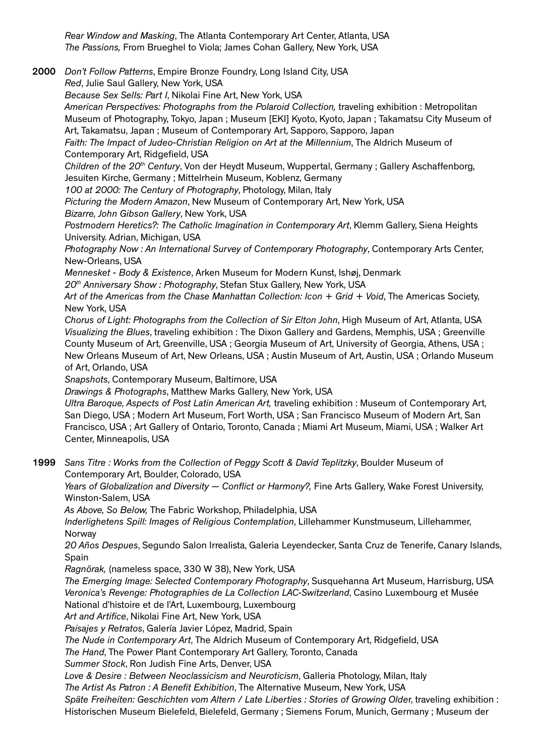*Rear Window and Masking*, The Atlanta Contemporary Art Center, Atlanta, USA *The Passions,* From Brueghel to Viola; James Cohan Gallery, New York, USA

2000 *Don't Follow Patterns*, Empire Bronze Foundry, Long Island City, USA

*Red*, Julie Saul Gallery, New York, USA

*Because Sex Sells: Part I*, Nikolai Fine Art, New York, USA

*American Perspectives: Photographs from the Polaroid Collection,* traveling exhibition : Metropolitan Museum of Photography, Tokyo, Japan ; Museum [EKI] Kyoto, Kyoto, Japan ; Takamatsu City Museum of Art, Takamatsu, Japan ; Museum of Contemporary Art, Sapporo, Sapporo, Japan

*Faith: The Impact of Judeo-Christian Religion on Art at the Millennium*, The Aldrich Museum of Contemporary Art, Ridgefield, USA

*Children of the 20th Century*, Von der Heydt Museum, Wuppertal, Germany ; Gallery Aschaffenborg, Jesuiten Kirche, Germany ; Mittelrhein Museum, Koblenz, Germany

*100 at 2000: The Century of Photography*, Photology, Milan, Italy

*Picturing the Modern Amazon*, New Museum of Contemporary Art, New York, USA *Bizarre, John Gibson Gallery*, New York, USA

*Postmodern Heretics?: The Catholic Imagination in Contemporary Art*, Klemm Gallery, Siena Heights University. Adrian, Michigan, USA

*Photography Now : An International Survey of Contemporary Photography*, Contemporary Arts Center, New-Orleans, USA

*Mennesket - Body & Existence*, Arken Museum for Modern Kunst, Ishøj, Denmark

*20th Anniversary Show : Photography*, Stefan Stux Gallery, New York, USA

*Art of the Americas from the Chase Manhattan Collection: Icon + Grid + Void*, The Americas Society, New York, USA

*Chorus of Light: Photographs from the Collection of Sir Elton John*, High Museum of Art, Atlanta, USA *Visualizing the Blues*, traveling exhibition : The Dixon Gallery and Gardens, Memphis, USA ; Greenville County Museum of Art, Greenville, USA ; Georgia Museum of Art, University of Georgia, Athens, USA ; New Orleans Museum of Art, New Orleans, USA ; Austin Museum of Art, Austin, USA ; Orlando Museum of Art, Orlando, USA

*Snapshots*, Contemporary Museum, Baltimore, USA

*Drawings & Photographs*, Matthew Marks Gallery, New York, USA

*Ultra Baroque, Aspects of Post Latin American Art,* traveling exhibition : Museum of Contemporary Art, San Diego, USA ; Modern Art Museum, Fort Worth, USA ; San Francisco Museum of Modern Art, San Francisco, USA ; Art Gallery of Ontario, Toronto, Canada ; Miami Art Museum, Miami, USA ; Walker Art Center, Minneapolis, USA

1999 *Sans Titre : Works from the Collection of Peggy Scott & David Teplitzky*, Boulder Museum of Contemporary Art, Boulder, Colorado, USA

*Years of Globalization and Diversity — Conflict or Harmony?,* Fine Arts Gallery, Wake Forest University, Winston-Salem, USA

*As Above, So Below,* The Fabric Workshop, Philadelphia, USA

*Inderlighetens Spill: Images of Religious Contemplation*, Lillehammer Kunstmuseum, Lillehammer, Norway

*20 Años Despues*, Segundo Salon Irrealista, Galeria Leyendecker, Santa Cruz de Tenerife, Canary Islands, Spain

*Ragnörak,* (nameless space, 330 W 38), New York, USA

*The Emerging Image: Selected Contemporary Photography*, Susquehanna Art Museum, Harrisburg, USA *Veronica's Revenge: Photographies de La Collection LAC-Switzerland*, Casino Luxembourg et Musée National d'histoire et de l'Art, Luxembourg, Luxembourg

*Art and Artifice*, Nikolai Fine Art, New York, USA

*Paisajes y Retratos*, Galería Javier López, Madrid, Spain

*The Nude in Contemporary Art*, The Aldrich Museum of Contemporary Art, Ridgefield, USA

*The Hand*, The Power Plant Contemporary Art Gallery, Toronto, Canada

*Summer Stock*, Ron Judish Fine Arts, Denver, USA

*Love & Desire : Between Neoclassicism and Neuroticism*, Galleria Photology, Milan, Italy

*The Artist As Patron : A Benefit Exhibition*, The Alternative Museum, New York, USA

*Späte Freiheiten: Geschichten vom Altern / Late Liberties : Stories of Growing Olde*r, traveling exhibition : Historischen Museum Bielefeld, Bielefeld, Germany ; Siemens Forum, Munich, Germany ; Museum der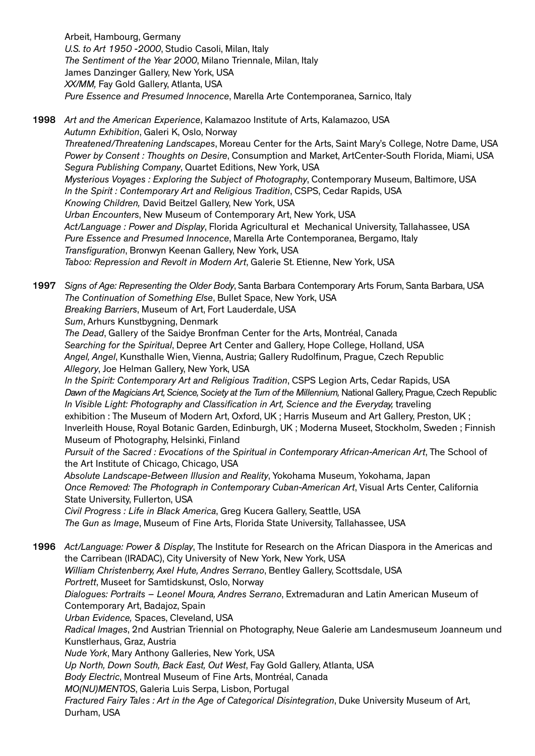Arbeit, Hambourg, Germany *U.S. to Art 1950 -2000*, Studio Casoli, Milan, Italy *The Sentiment of the Year 2000*, Milano Triennale, Milan, Italy James Danzinger Gallery, New York, USA *XX/MM,* Fay Gold Gallery, Atlanta, USA *Pure Essence and Presumed Innocence*, Marella Arte Contemporanea, Sarnico, Italy

1998 *Art and the American Experience*, Kalamazoo Institute of Arts, Kalamazoo, USA *Autumn Exhibition*, Galeri K, Oslo, Norway *Threatened/Threatening Landscapes*, Moreau Center for the Arts, Saint Mary's College, Notre Dame, USA *Power by Consent : Thoughts on Desire*, Consumption and Market, ArtCenter-South Florida, Miami, USA *Segura Publishing Company*, Quartet Editions, New York, USA *Mysterious Voyages : Exploring the Subject of Photography*, Contemporary Museum, Baltimore, USA *In the Spirit : Contemporary Art and Religious Tradition*, CSPS, Cedar Rapids, USA *Knowing Children,* David Beitzel Gallery, New York, USA *Urban Encounters*, New Museum of Contemporary Art, New York, USA *Act/Language : Power and Display*, Florida Agricultural et Mechanical University, Tallahassee, USA *Pure Essence and Presumed Innocence*, Marella Arte Contemporanea, Bergamo, Italy *Transfiguration*, Bronwyn Keenan Gallery, New York, USA *Taboo: Repression and Revolt in Modern Art*, Galerie St. Etienne, New York, USA

1997 *Signs of Age: Representing the Older Body*, Santa Barbara Contemporary Arts Forum, Santa Barbara, USA *The Continuation of Something Else*, Bullet Space, New York, USA *Breaking Barriers*, Museum of Art, Fort Lauderdale, USA *Sum*, Arhurs Kunstbygning, Denmark *The Dead*, Gallery of the Saidye Bronfman Center for the Arts, Montréal, Canada

*Searching for the Spiritual*, Depree Art Center and Gallery, Hope College, Holland, USA *Angel, Angel*, Kunsthalle Wien, Vienna, Austria; Gallery Rudolfinum, Prague, Czech Republic *Allegory*, Joe Helman Gallery, New York, USA

*In the Spirit: Contemporary Art and Religious Tradition*, CSPS Legion Arts, Cedar Rapids, USA *Dawn of the Magicians Art, Science, Society at the Turn of the Millennium,* National Gallery, Prague, Czech Republic *In Visible Light: Photography and Classification in Art, Science and the Everyday, traveling* exhibition : The Museum of Modern Art, Oxford, UK ; Harris Museum and Art Gallery, Preston, UK ; Inverleith House, Royal Botanic Garden, Edinburgh, UK ; Moderna Museet, Stockholm, Sweden ; Finnish Museum of Photography, Helsinki, Finland

*Pursuit of the Sacred : Evocations of the Spiritual in Contemporary African-American Art*, The School of the Art Institute of Chicago, Chicago, USA

*Absolute Landscape-Between Illusion and Reality*, Yokohama Museum, Yokohama, Japan *Once Removed: The Photograph in Contemporary Cuban-American Art*, Visual Arts Center, California State University, Fullerton, USA

*Civil Progress : Life in Black America*, Greg Kucera Gallery, Seattle, USA *The Gun as Image*, Museum of Fine Arts, Florida State University, Tallahassee, USA

Durham, USA

1996 *Act/Language: Power & Display*, The Institute for Research on the African Diaspora in the Americas and the Carribean (IRADAC), City University of New York, New York, USA *William Christenberry, Axel Hute, Andres Serrano*, Bentley Gallery, Scottsdale, USA *Portrett*, Museet for Samtidskunst, Oslo, Norway *Dialogues: Portraits – Leonel Moura, Andres Serrano*, Extremaduran and Latin American Museum of Contemporary Art, Badajoz, Spain *Urban Evidence,* Spaces, Cleveland, USA *Radical Images*, 2nd Austrian Triennial on Photography, Neue Galerie am Landesmuseum Joanneum und Kunstlerhaus, Graz, Austria *Nude York*, Mary Anthony Galleries, New York, USA *Up North, Down South, Back East, Out West*, Fay Gold Gallery, Atlanta, USA *Body Electric*, Montreal Museum of Fine Arts, Montréal, Canada *MO(NU)MENTOS*, Galeria Luis Serpa, Lisbon, Portugal *Fractured Fairy Tales : Art in the Age of Categorical Disintegration*, Duke University Museum of Art,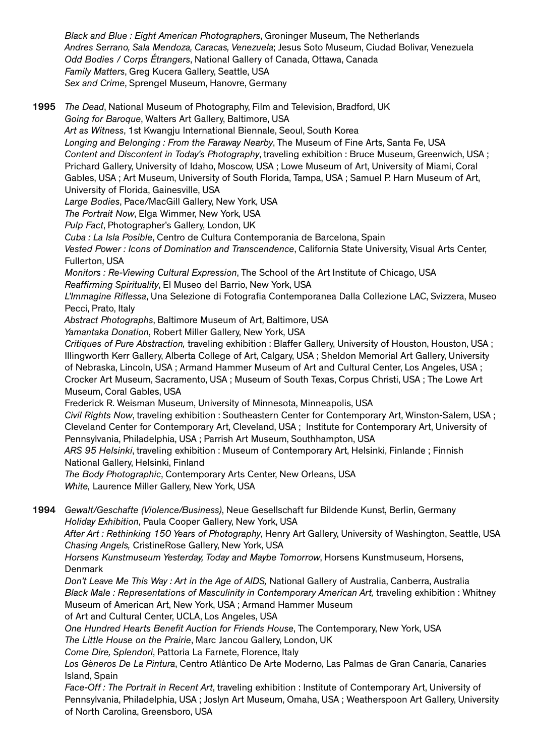*Black and Blue : Eight American Photographers*, Groninger Museum, The Netherlands *Andres Serrano, Sala Mendoza, Caracas, Venezuela*; Jesus Soto Museum, Ciudad Bolivar, Venezuela *Odd Bodies / Corps Étrangers*, National Gallery of Canada, Ottawa, Canada *Family Matters*, Greg Kucera Gallery, Seattle, USA *Sex and Crime*, Sprengel Museum, Hanovre, Germany

1995 *The Dead*, National Museum of Photography, Film and Television, Bradford, UK *Going for Baroque*, Walters Art Gallery, Baltimore, USA *Art as Witness*, 1st Kwangju International Biennale, Seoul, South Korea *Longing and Belonging : From the Faraway Nearby*, The Museum of Fine Arts, Santa Fe, USA *Content and Discontent in Today's Photography*, traveling exhibition : Bruce Museum, Greenwich, USA ; Prichard Gallery, University of Idaho, Moscow, USA ; Lowe Museum of Art, University of Miami, Coral Gables, USA ; Art Museum, University of South Florida, Tampa, USA ; Samuel P. Harn Museum of Art, University of Florida, Gainesville, USA *Large Bodies*, Pace/MacGill Gallery, New York, USA *The Portrait Now*, Elga Wimmer, New York, USA *Pulp Fact*, Photographer's Gallery, London, UK *Cuba : La Isla Posible*, Centro de Cultura Contemporania de Barcelona, Spain *Vested Power : Icons of Domination and Transcendence*, California State University, Visual Arts Center, Fullerton, USA *Monitors : Re-Viewing Cultural Expression*, The School of the Art Institute of Chicago, USA *Reaffirming Spirituality*, El Museo del Barrio, New York, USA *L'Immagine Riflessa*, Una Selezione di Fotografia Contemporanea Dalla Collezione LAC, Svizzera, Museo Pecci, Prato, Italy *Abstract Photographs*, Baltimore Museum of Art, Baltimore, USA *Yamantaka Donation*, Robert Miller Gallery, New York, USA *Critiques of Pure Abstraction,* traveling exhibition : Blaffer Gallery, University of Houston, Houston, USA ; IIlingworth Kerr Gallery, Alberta College of Art, Calgary, USA ; Sheldon Memorial Art Gallery, University of Nebraska, Lincoln, USA ; Armand Hammer Museum of Art and Cultural Center, Los Angeles, USA ; Crocker Art Museum, Sacramento, USA ; Museum of South Texas, Corpus Christi, USA ; The Lowe Art Museum, Coral Gables, USA Frederick R. Weisman Museum, University of Minnesota, Minneapolis, USA *Civil Rights Now*, traveling exhibition : Southeastern Center for Contemporary Art, Winston-Salem, USA ; Cleveland Center for Contemporary Art, Cleveland, USA ; Institute for Contemporary Art, University of Pennsylvania, Philadelphia, USA ; Parrish Art Museum, Southhampton, USA *ARS 95 Helsinki*, traveling exhibition : Museum of Contemporary Art, Helsinki, Finlande ; Finnish National Gallery, Helsinki, Finland *The Body Photographic*, Contemporary Arts Center, New Orleans, USA *White,* Laurence Miller Gallery, New York, USA 1994 *Gewalt/Geschafte (Violence/Business)*, Neue Gesellschaft fur Bildende Kunst, Berlin, Germany *Holiday Exhibition*, Paula Cooper Gallery, New York, USA *After Art : Rethinking 150 Years of Photography*, Henry Art Gallery, University of Washington, Seattle, USA *Chasing Angels,* CristineRose Gallery, New York, USA *Horsens Kunstmuseum Yesterday, Today and Maybe Tomorrow*, Horsens Kunstmuseum, Horsens, Denmark

*Don't Leave Me This Way : Art in the Age of AIDS,* National Gallery of Australia, Canberra, Australia *Black Male : Representations of Masculinity in Contemporary American Art,* traveling exhibition : Whitney Museum of American Art, New York, USA ; Armand Hammer Museum

of Art and Cultural Center, UCLA, Los Angeles, USA

*One Hundred Hearts Benefit Auction for Friends House*, The Contemporary, New York, USA

*The Little House on the Prairie*, Marc Jancou Gallery, London, UK

*Come Dire, Splendori*, Pattoria La Farnete, Florence, Italy

*Los Gèneros De La Pintura*, Centro Atlàntico De Arte Moderno, Las Palmas de Gran Canaria, Canaries Island, Spain

*Face-Off : The Portrait in Recent Art*, traveling exhibition : Institute of Contemporary Art, University of Pennsylvania, Philadelphia, USA ; Joslyn Art Museum, Omaha, USA ; Weatherspoon Art Gallery, University of North Carolina, Greensboro, USA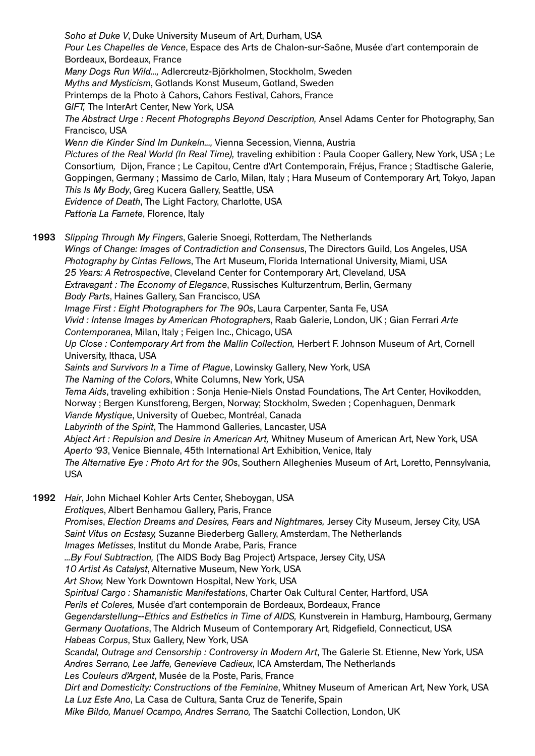*Soho at Duke V*, Duke University Museum of Art, Durham, USA *Pour Les Chapelles de Vence*, Espace des Arts de Chalon-sur-Saône, Musée d'art contemporain de Bordeaux, Bordeaux, France *Many Dogs Run Wild...,* Adlercreutz-Björkholmen, Stockholm, Sweden *Myths and Mysticism*, Gotlands Konst Museum, Gotland, Sweden Printemps de la Photo à Cahors, Cahors Festival, Cahors, France *GIFT,* The InterArt Center, New York, USA *The Abstract Urge : Recent Photographs Beyond Description,* Ansel Adams Center for Photography, San Francisco, USA *Wenn die Kinder Sind Im Dunkeln...,* Vienna Secession, Vienna, Austria *Pictures of the Real World (In Real Time),* traveling exhibition : Paula Cooper Gallery, New York, USA ; Le Consortium*,* Dijon, France ; Le Capitou, Centre d'Art Contemporain, Fréjus, France ; Stadtische Galerie, Goppingen, Germany ; Massimo de Carlo, Milan, Italy ; Hara Museum of Contemporary Art, Tokyo, Japan *This Is My Body*, Greg Kucera Gallery, Seattle, USA *Evidence of Death*, The Light Factory, Charlotte, USA *Pattoria La Farnete*, Florence, Italy

1993 *Slipping Through My Fingers*, Galerie Snoegi, Rotterdam, The Netherlands *Wings of Change: Images of Contradiction and Consensus*, The Directors Guild, Los Angeles, USA *Photography by Cintas Fellows*, The Art Museum, Florida International University, Miami, USA *25 Years: A Retrospective*, Cleveland Center for Contemporary Art, Cleveland, USA *Extravagant : The Economy of Elegance*, Russisches Kulturzentrum, Berlin, Germany *Body Parts*, Haines Gallery, San Francisco, USA

*Image First : Eight Photographers for The 90s*, Laura Carpenter, Santa Fe, USA *Vivid : Intense Images by American Photographers*, Raab Galerie, London, UK ; Gian Ferrari *Arte Contemporanea*, Milan, Italy ; Feigen Inc., Chicago, USA

*Up Close : Contemporary Art from the Mallin Collection,* Herbert F. Johnson Museum of Art, Cornell University, Ithaca, USA

*Saints and Survivors In a Time of Plague*, Lowinsky Gallery, New York, USA

*The Naming of the Colors*, White Columns, New York, USA

*Tema Aids*, traveling exhibition : Sonja Henie-Niels Onstad Foundations, The Art Center, Hovikodden, Norway ; Bergen Kunstforeng, Bergen, Norway; Stockholm, Sweden ; Copenhaguen, Denmark *Viande Mystique*, University of Quebec, Montréal, Canada

*Labyrinth of the Spirit*, The Hammond Galleries, Lancaster, USA

*Abject Art : Repulsion and Desire in American Art,* Whitney Museum of American Art, New York, USA *Aperto '93*, Venice Biennale, 45th International Art Exhibition, Venice, Italy *The Alternative Eye : Photo Art for the 90s*, Southern Alleghenies Museum of Art, Loretto, Pennsylvania, USA

1992 *Hair*, John Michael Kohler Arts Center, Sheboygan, USA

*Erotiques*, Albert Benhamou Gallery, Paris, France

*Promises*, *Election Dreams and Desires, Fears and Nightmares,* Jersey City Museum, Jersey City, USA *Saint Vitus on Ecstasy,* Suzanne Biederberg Gallery, Amsterdam, The Netherlands *Images Metisses*, Institut du Monde Arabe, Paris, France

*...By Foul Subtraction,* (The AIDS Body Bag Project) Artspace, Jersey City, USA

*10 Artist As Catalyst*, Alternative Museum, New York, USA

*Art Show,* New York Downtown Hospital, New York, USA

*Spiritual Cargo : Shamanistic Manifestations*, Charter Oak Cultural Center, Hartford, USA

*Perils et Coleres,* Musée d'art contemporain de Bordeaux, Bordeaux, France

*Gegendarstellung--Ethics and Esthetics in Time of AIDS,* Kunstverein in Hamburg, Hambourg, Germany *Germany Quotations*, The Aldrich Museum of Contemporary Art, Ridgefield, Connecticut, USA *Habeas Corpus*, Stux Gallery, New York, USA

*Scandal, Outrage and Censorship : Controversy in Modern Art*, The Galerie St. Etienne, New York, USA *Andres Serrano, Lee Jaffe, Genevieve Cadieux*, ICA Amsterdam, The Netherlands

*Les Couleurs d'Argent*, Musée de la Poste, Paris, France

*Dirt and Domesticity: Constructions of the Feminine*, Whitney Museum of American Art, New York, USA *La Luz Este Ano*, La Casa de Cultura, Santa Cruz de Tenerife, Spain

*Mike Bildo, Manuel Ocampo, Andres Serrano,* The Saatchi Collection, London, UK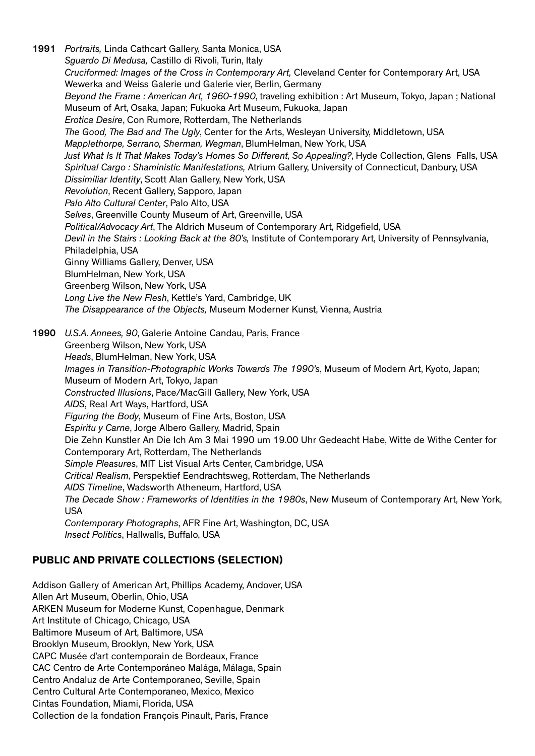- 1991 *Portraits,* Linda Cathcart Gallery, Santa Monica, USA *Sguardo Di Medusa,* Castillo di Rivoli, Turin, Italy *Cruciformed: Images of the Cross in Contemporary Art,* Cleveland Center for Contemporary Art, USA Wewerka and Weiss Galerie und Galerie vier, Berlin, Germany *Beyond the Frame : American Art, 1960-1990*, traveling exhibition : Art Museum, Tokyo, Japan ; National Museum of Art, Osaka, Japan; Fukuoka Art Museum, Fukuoka, Japan *Erotica Desire*, Con Rumore, Rotterdam, The Netherlands *The Good, The Bad and The Ugly*, Center for the Arts, Wesleyan University, Middletown, USA *Mapplethorpe, Serrano, Sherman, Wegman*, BlumHelman, New York, USA *Just What Is It That Makes Today's Homes So Different, So Appealing?*, Hyde Collection, Glens Falls, USA *Spiritual Cargo : Shaministic Manifestations,* Atrium Gallery, University of Connecticut, Danbury, USA *Dissimiliar Identity*, Scott Alan Gallery, New York, USA *Revolution*, Recent Gallery, Sapporo, Japan *Palo Alto Cultural Center*, Palo Alto, USA *Selves*, Greenville County Museum of Art, Greenville, USA *Political/Advocacy Art*, The Aldrich Museum of Contemporary Art, Ridgefield, USA *Devil in the Stairs : Looking Back at the 80's,* Institute of Contemporary Art, University of Pennsylvania, Philadelphia, USA Ginny Williams Gallery, Denver, USA BlumHelman, New York, USA Greenberg Wilson, New York, USA *Long Live the New Flesh*, Kettle's Yard, Cambridge, UK *The Disappearance of the Objects,* Museum Moderner Kunst, Vienna, Austria 1990 *U.S.A. Annees, 90*, Galerie Antoine Candau, Paris, France Greenberg Wilson, New York, USA *Heads*, BlumHelman, New York, USA *Images in Transition-Photographic Works Towards The 1990's*, Museum of Modern Art, Kyoto, Japan; Museum of Modern Art, Tokyo, Japan
	- *Constructed Illusions*, Pace/MacGill Gallery, New York, USA
	- *AIDS*, Real Art Ways, Hartford, USA
	- *Figuring the Body*, Museum of Fine Arts, Boston, USA
	- *Espiritu y Carne*, Jorge Albero Gallery, Madrid, Spain

Die Zehn Kunstler An Die Ich Am 3 Mai 1990 um 19.00 Uhr Gedeacht Habe, Witte de Withe Center for Contemporary Art, Rotterdam, The Netherlands

- *Simple Pleasures*, MIT List Visual Arts Center, Cambridge, USA
- *Critical Realism*, Perspektief Eendrachtsweg, Rotterdam, The Netherlands
- *AIDS Timeline*, Wadsworth Atheneum, Hartford, USA

*The Decade Show : Frameworks of Identities in the 1980s*, New Museum of Contemporary Art, New York, USA

*Contemporary Photographs*, AFR Fine Art, Washington, DC, USA *Insect Politics*, Hallwalls, Buffalo, USA

### PUBLIC AND PRIVATE COLLECTIONS (SELECTION)

Addison Gallery of American Art, Phillips Academy, Andover, USA Allen Art Museum, Oberlin, Ohio, USA ARKEN Museum for Moderne Kunst, Copenhague, Denmark Art Institute of Chicago, Chicago, USA Baltimore Museum of Art, Baltimore, USA Brooklyn Museum, Brooklyn, New York, USA CAPC Musée d'art contemporain de Bordeaux, France CAC Centro de Arte Contemporáneo Malága, Málaga, Spain Centro Andaluz de Arte Contemporaneo, Seville, Spain Centro Cultural Arte Contemporaneo, Mexico, Mexico Cintas Foundation, Miami, Florida, USA Collection de la fondation François Pinault, Paris, France